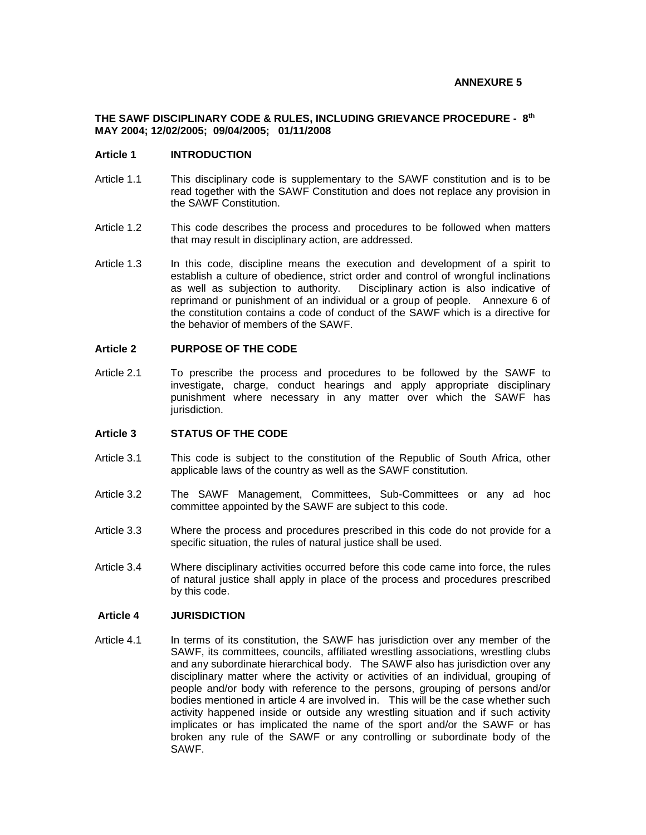#### **ANNEXURE 5**

#### **THE SAWF DISCIPLINARY CODE & RULES, INCLUDING GRIEVANCE PROCEDURE - 8 th MAY 2004; 12/02/2005; 09/04/2005; 01/11/2008**

#### **Article 1 INTRODUCTION**

- Article 1.1 This disciplinary code is supplementary to the SAWF constitution and is to be read together with the SAWF Constitution and does not replace any provision in the SAWF Constitution.
- Article 1.2 This code describes the process and procedures to be followed when matters that may result in disciplinary action, are addressed.
- Article 1.3 In this code, discipline means the execution and development of a spirit to establish a culture of obedience, strict order and control of wrongful inclinations as well as subjection to authority. Disciplinary action is also indicative of reprimand or punishment of an individual or a group of people. Annexure 6 of the constitution contains a code of conduct of the SAWF which is a directive for the behavior of members of the SAWF.

## **Article 2 PURPOSE OF THE CODE**

Article 2.1 To prescribe the process and procedures to be followed by the SAWF to investigate, charge, conduct hearings and apply appropriate disciplinary punishment where necessary in any matter over which the SAWF has jurisdiction.

#### **Article 3 STATUS OF THE CODE**

- Article 3.1 This code is subject to the constitution of the Republic of South Africa, other applicable laws of the country as well as the SAWF constitution.
- Article 3.2 The SAWF Management, Committees, Sub-Committees or any ad hoc committee appointed by the SAWF are subject to this code.
- Article 3.3 Where the process and procedures prescribed in this code do not provide for a specific situation, the rules of natural justice shall be used.
- Article 3.4 Where disciplinary activities occurred before this code came into force, the rules of natural justice shall apply in place of the process and procedures prescribed by this code.

#### **Article 4 JURISDICTION**

Article 4.1 In terms of its constitution, the SAWF has jurisdiction over any member of the SAWF, its committees, councils, affiliated wrestling associations, wrestling clubs and any subordinate hierarchical body. The SAWF also has jurisdiction over any disciplinary matter where the activity or activities of an individual, grouping of people and/or body with reference to the persons, grouping of persons and/or bodies mentioned in article 4 are involved in. This will be the case whether such activity happened inside or outside any wrestling situation and if such activity implicates or has implicated the name of the sport and/or the SAWF or has broken any rule of the SAWF or any controlling or subordinate body of the SAWF.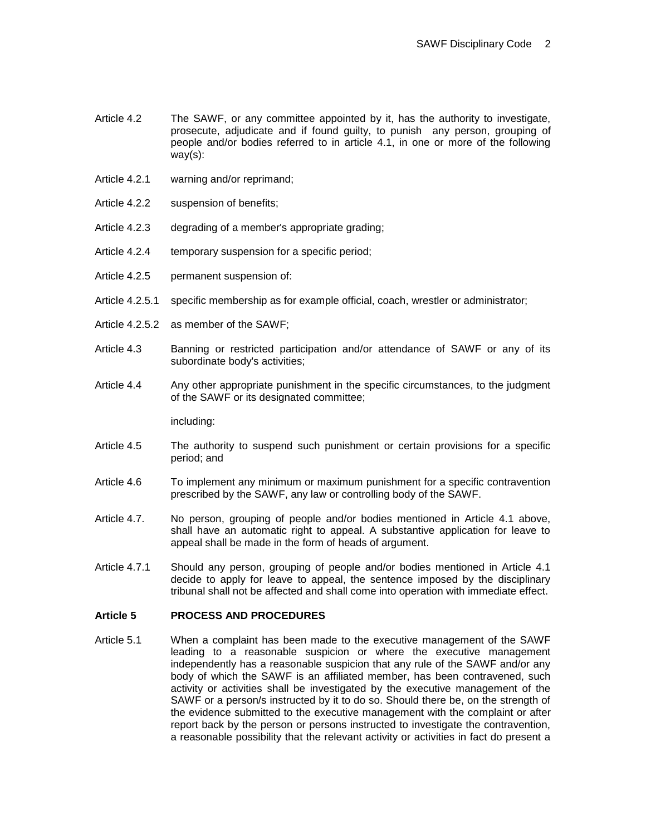- Article 4.2 The SAWF, or any committee appointed by it, has the authority to investigate, prosecute, adjudicate and if found guilty, to punish any person, grouping of people and/or bodies referred to in article 4.1, in one or more of the following way(s):
- Article 4.2.1 warning and/or reprimand;
- Article 4.2.2 suspension of benefits;
- Article 4.2.3 degrading of a member's appropriate grading;
- Article 4.2.4 temporary suspension for a specific period;
- Article 4.2.5 permanent suspension of:
- Article 4.2.5.1 specific membership as for example official, coach, wrestler or administrator;
- Article 4.2.5.2 as member of the SAWF;
- Article 4.3 Banning or restricted participation and/or attendance of SAWF or any of its subordinate body's activities;
- Article 4.4 Any other appropriate punishment in the specific circumstances, to the judgment of the SAWF or its designated committee;

including:

- Article 4.5 The authority to suspend such punishment or certain provisions for a specific period; and
- Article 4.6 To implement any minimum or maximum punishment for a specific contravention prescribed by the SAWF, any law or controlling body of the SAWF.
- Article 4.7. No person, grouping of people and/or bodies mentioned in Article 4.1 above, shall have an automatic right to appeal. A substantive application for leave to appeal shall be made in the form of heads of argument.
- Article 4.7.1 Should any person, grouping of people and/or bodies mentioned in Article 4.1 decide to apply for leave to appeal, the sentence imposed by the disciplinary tribunal shall not be affected and shall come into operation with immediate effect.

#### **Article 5 PROCESS AND PROCEDURES**

Article 5.1 When a complaint has been made to the executive management of the SAWF leading to a reasonable suspicion or where the executive management independently has a reasonable suspicion that any rule of the SAWF and/or any body of which the SAWF is an affiliated member, has been contravened, such activity or activities shall be investigated by the executive management of the SAWF or a person/s instructed by it to do so. Should there be, on the strength of the evidence submitted to the executive management with the complaint or after report back by the person or persons instructed to investigate the contravention, a reasonable possibility that the relevant activity or activities in fact do present a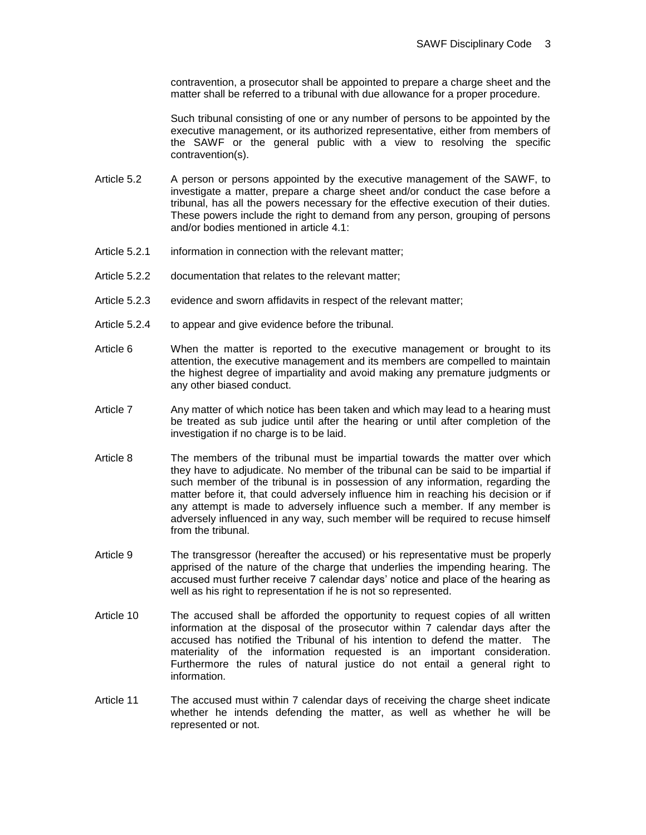contravention, a prosecutor shall be appointed to prepare a charge sheet and the matter shall be referred to a tribunal with due allowance for a proper procedure.

Such tribunal consisting of one or any number of persons to be appointed by the executive management, or its authorized representative, either from members of the SAWF or the general public with a view to resolving the specific contravention(s).

- Article 5.2 A person or persons appointed by the executive management of the SAWF, to investigate a matter, prepare a charge sheet and/or conduct the case before a tribunal, has all the powers necessary for the effective execution of their duties. These powers include the right to demand from any person, grouping of persons and/or bodies mentioned in article 4.1:
- Article 5.2.1 information in connection with the relevant matter;
- Article 5.2.2 documentation that relates to the relevant matter;
- Article 5.2.3 evidence and sworn affidavits in respect of the relevant matter;
- Article 5.2.4 to appear and give evidence before the tribunal.
- Article 6 When the matter is reported to the executive management or brought to its attention, the executive management and its members are compelled to maintain the highest degree of impartiality and avoid making any premature judgments or any other biased conduct.
- Article 7 Any matter of which notice has been taken and which may lead to a hearing must be treated as sub judice until after the hearing or until after completion of the investigation if no charge is to be laid.
- Article 8 The members of the tribunal must be impartial towards the matter over which they have to adjudicate. No member of the tribunal can be said to be impartial if such member of the tribunal is in possession of any information, regarding the matter before it, that could adversely influence him in reaching his decision or if any attempt is made to adversely influence such a member. If any member is adversely influenced in any way, such member will be required to recuse himself from the tribunal.
- Article 9 The transgressor (hereafter the accused) or his representative must be properly apprised of the nature of the charge that underlies the impending hearing. The accused must further receive 7 calendar days' notice and place of the hearing as well as his right to representation if he is not so represented.
- Article 10 The accused shall be afforded the opportunity to request copies of all written information at the disposal of the prosecutor within 7 calendar days after the accused has notified the Tribunal of his intention to defend the matter. The materiality of the information requested is an important consideration. Furthermore the rules of natural justice do not entail a general right to information.
- Article 11 The accused must within 7 calendar days of receiving the charge sheet indicate whether he intends defending the matter, as well as whether he will be represented or not.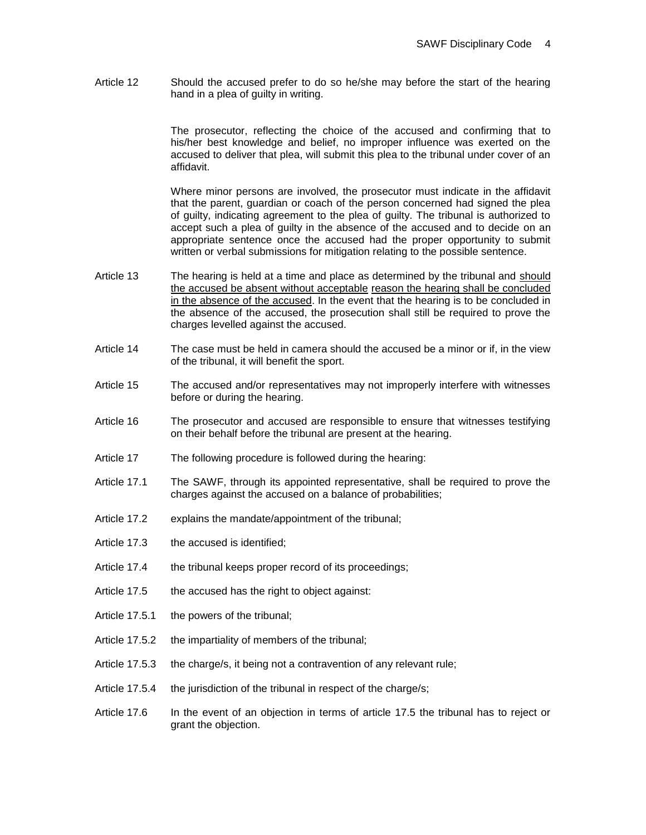Article 12 Should the accused prefer to do so he/she may before the start of the hearing hand in a plea of guilty in writing.

> The prosecutor, reflecting the choice of the accused and confirming that to his/her best knowledge and belief, no improper influence was exerted on the accused to deliver that plea, will submit this plea to the tribunal under cover of an affidavit.

> Where minor persons are involved, the prosecutor must indicate in the affidavit that the parent, guardian or coach of the person concerned had signed the plea of guilty, indicating agreement to the plea of guilty. The tribunal is authorized to accept such a plea of guilty in the absence of the accused and to decide on an appropriate sentence once the accused had the proper opportunity to submit written or verbal submissions for mitigation relating to the possible sentence.

- Article 13 The hearing is held at a time and place as determined by the tribunal and should the accused be absent without acceptable reason the hearing shall be concluded in the absence of the accused. In the event that the hearing is to be concluded in the absence of the accused, the prosecution shall still be required to prove the charges levelled against the accused.
- Article 14 The case must be held in camera should the accused be a minor or if, in the view of the tribunal, it will benefit the sport.
- Article 15 The accused and/or representatives may not improperly interfere with witnesses before or during the hearing.
- Article 16 The prosecutor and accused are responsible to ensure that witnesses testifying on their behalf before the tribunal are present at the hearing.
- Article 17 The following procedure is followed during the hearing:
- Article 17.1 The SAWF, through its appointed representative, shall be required to prove the charges against the accused on a balance of probabilities;
- Article 17.2 explains the mandate/appointment of the tribunal;
- Article 17.3 the accused is identified:
- Article 17.4 the tribunal keeps proper record of its proceedings;
- Article 17.5 the accused has the right to object against:
- Article 17.5.1 the powers of the tribunal;
- Article 17.5.2 the impartiality of members of the tribunal;
- Article 17.5.3 the charge/s, it being not a contravention of any relevant rule;
- Article 17.5.4 the jurisdiction of the tribunal in respect of the charge/s;
- Article 17.6 In the event of an objection in terms of article 17.5 the tribunal has to reject or grant the objection.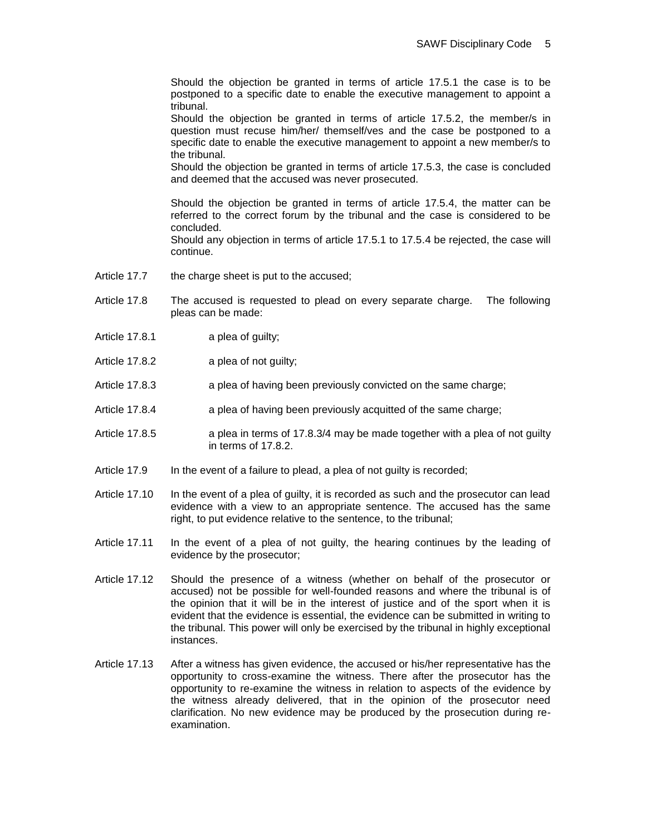Should the objection be granted in terms of article 17.5.1 the case is to be postponed to a specific date to enable the executive management to appoint a tribunal.

Should the objection be granted in terms of article 17.5.2, the member/s in question must recuse him/her/ themself/ves and the case be postponed to a specific date to enable the executive management to appoint a new member/s to the tribunal.

Should the objection be granted in terms of article 17.5.3, the case is concluded and deemed that the accused was never prosecuted.

Should the objection be granted in terms of article 17.5.4, the matter can be referred to the correct forum by the tribunal and the case is considered to be concluded.

Should any objection in terms of article 17.5.1 to 17.5.4 be rejected, the case will continue.

- Article 17.7 the charge sheet is put to the accused;
- Article 17.8 The accused is requested to plead on every separate charge. The following pleas can be made:
- Article 17.8.1 a plea of guilty;
- Article 17.8.2 a plea of not guilty;
- Article 17.8.3 **a plea of having been previously convicted on the same charge;**
- Article 17.8.4 a plea of having been previously acquitted of the same charge;
- Article 17.8.5 a plea in terms of 17.8.3/4 may be made together with a plea of not guilty in terms of 17.8.2.
- Article 17.9 In the event of a failure to plead, a plea of not guilty is recorded;
- Article 17.10 In the event of a plea of guilty, it is recorded as such and the prosecutor can lead evidence with a view to an appropriate sentence. The accused has the same right, to put evidence relative to the sentence, to the tribunal;
- Article 17.11 In the event of a plea of not guilty, the hearing continues by the leading of evidence by the prosecutor;
- Article 17.12 Should the presence of a witness (whether on behalf of the prosecutor or accused) not be possible for well-founded reasons and where the tribunal is of the opinion that it will be in the interest of justice and of the sport when it is evident that the evidence is essential, the evidence can be submitted in writing to the tribunal. This power will only be exercised by the tribunal in highly exceptional instances.
- Article 17.13 After a witness has given evidence, the accused or his/her representative has the opportunity to cross-examine the witness. There after the prosecutor has the opportunity to re-examine the witness in relation to aspects of the evidence by the witness already delivered, that in the opinion of the prosecutor need clarification. No new evidence may be produced by the prosecution during reexamination.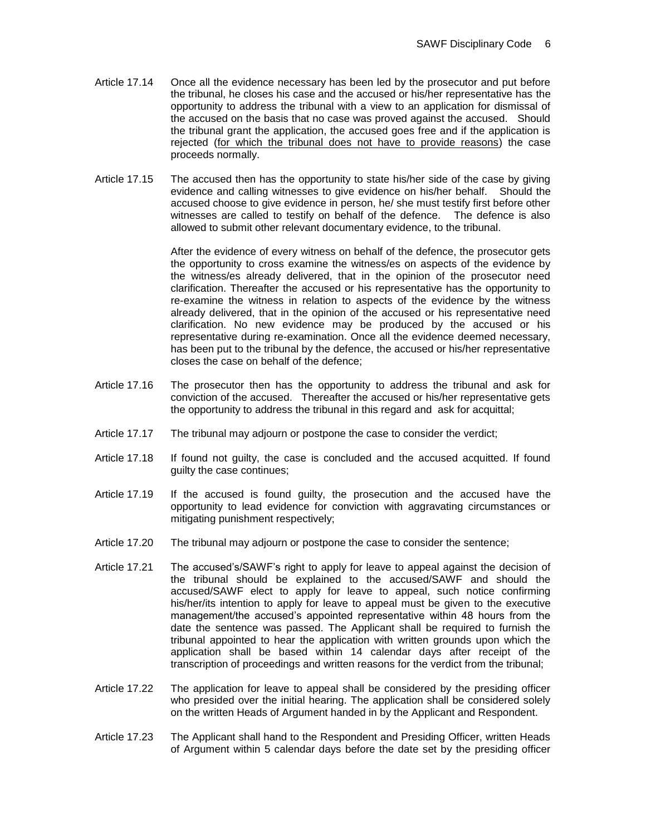- Article 17.14 Once all the evidence necessary has been led by the prosecutor and put before the tribunal, he closes his case and the accused or his/her representative has the opportunity to address the tribunal with a view to an application for dismissal of the accused on the basis that no case was proved against the accused. Should the tribunal grant the application, the accused goes free and if the application is rejected (for which the tribunal does not have to provide reasons) the case proceeds normally.
- Article 17.15 The accused then has the opportunity to state his/her side of the case by giving evidence and calling witnesses to give evidence on his/her behalf. Should the accused choose to give evidence in person, he/ she must testify first before other witnesses are called to testify on behalf of the defence. The defence is also allowed to submit other relevant documentary evidence, to the tribunal.

After the evidence of every witness on behalf of the defence, the prosecutor gets the opportunity to cross examine the witness/es on aspects of the evidence by the witness/es already delivered, that in the opinion of the prosecutor need clarification. Thereafter the accused or his representative has the opportunity to re-examine the witness in relation to aspects of the evidence by the witness already delivered, that in the opinion of the accused or his representative need clarification. No new evidence may be produced by the accused or his representative during re-examination. Once all the evidence deemed necessary, has been put to the tribunal by the defence, the accused or his/her representative closes the case on behalf of the defence;

- Article 17.16 The prosecutor then has the opportunity to address the tribunal and ask for conviction of the accused. Thereafter the accused or his/her representative gets the opportunity to address the tribunal in this regard and ask for acquittal;
- Article 17.17 The tribunal may adjourn or postpone the case to consider the verdict;
- Article 17.18 If found not guilty, the case is concluded and the accused acquitted. If found guilty the case continues;
- Article 17.19 If the accused is found guilty, the prosecution and the accused have the opportunity to lead evidence for conviction with aggravating circumstances or mitigating punishment respectively;
- Article 17.20 The tribunal may adjourn or postpone the case to consider the sentence;
- Article 17.21 The accused's/SAWF's right to apply for leave to appeal against the decision of the tribunal should be explained to the accused/SAWF and should the accused/SAWF elect to apply for leave to appeal, such notice confirming his/her/its intention to apply for leave to appeal must be given to the executive management/the accused's appointed representative within 48 hours from the date the sentence was passed. The Applicant shall be required to furnish the tribunal appointed to hear the application with written grounds upon which the application shall be based within 14 calendar days after receipt of the transcription of proceedings and written reasons for the verdict from the tribunal;
- Article 17.22 The application for leave to appeal shall be considered by the presiding officer who presided over the initial hearing. The application shall be considered solely on the written Heads of Argument handed in by the Applicant and Respondent.
- Article 17.23 The Applicant shall hand to the Respondent and Presiding Officer, written Heads of Argument within 5 calendar days before the date set by the presiding officer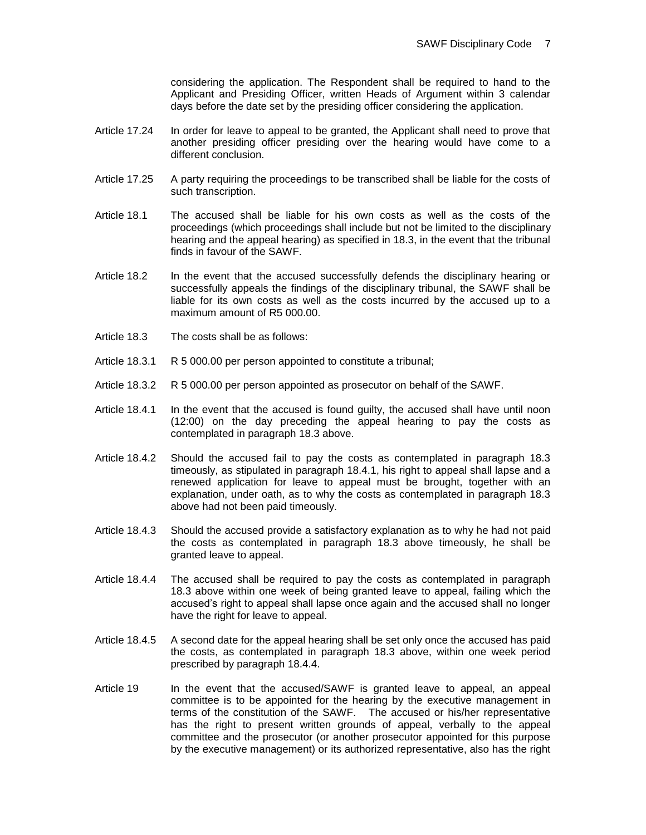considering the application. The Respondent shall be required to hand to the Applicant and Presiding Officer, written Heads of Argument within 3 calendar days before the date set by the presiding officer considering the application.

- Article 17.24 In order for leave to appeal to be granted, the Applicant shall need to prove that another presiding officer presiding over the hearing would have come to a different conclusion.
- Article 17.25 A party requiring the proceedings to be transcribed shall be liable for the costs of such transcription.
- Article 18.1 The accused shall be liable for his own costs as well as the costs of the proceedings (which proceedings shall include but not be limited to the disciplinary hearing and the appeal hearing) as specified in 18.3, in the event that the tribunal finds in favour of the SAWF.
- Article 18.2 In the event that the accused successfully defends the disciplinary hearing or successfully appeals the findings of the disciplinary tribunal, the SAWF shall be liable for its own costs as well as the costs incurred by the accused up to a maximum amount of R5 000.00.
- Article 18.3 The costs shall be as follows:
- Article 18.3.1 R 5 000.00 per person appointed to constitute a tribunal;
- Article 18.3.2 R 5 000.00 per person appointed as prosecutor on behalf of the SAWF.
- Article 18.4.1 In the event that the accused is found guilty, the accused shall have until noon (12:00) on the day preceding the appeal hearing to pay the costs as contemplated in paragraph 18.3 above.
- Article 18.4.2 Should the accused fail to pay the costs as contemplated in paragraph 18.3 timeously, as stipulated in paragraph 18.4.1, his right to appeal shall lapse and a renewed application for leave to appeal must be brought, together with an explanation, under oath, as to why the costs as contemplated in paragraph 18.3 above had not been paid timeously.
- Article 18.4.3 Should the accused provide a satisfactory explanation as to why he had not paid the costs as contemplated in paragraph 18.3 above timeously, he shall be granted leave to appeal.
- Article 18.4.4 The accused shall be required to pay the costs as contemplated in paragraph 18.3 above within one week of being granted leave to appeal, failing which the accused's right to appeal shall lapse once again and the accused shall no longer have the right for leave to appeal.
- Article 18.4.5 A second date for the appeal hearing shall be set only once the accused has paid the costs, as contemplated in paragraph 18.3 above, within one week period prescribed by paragraph 18.4.4.
- Article 19 In the event that the accused/SAWF is granted leave to appeal, an appeal committee is to be appointed for the hearing by the executive management in terms of the constitution of the SAWF. The accused or his/her representative has the right to present written grounds of appeal, verbally to the appeal committee and the prosecutor (or another prosecutor appointed for this purpose by the executive management) or its authorized representative, also has the right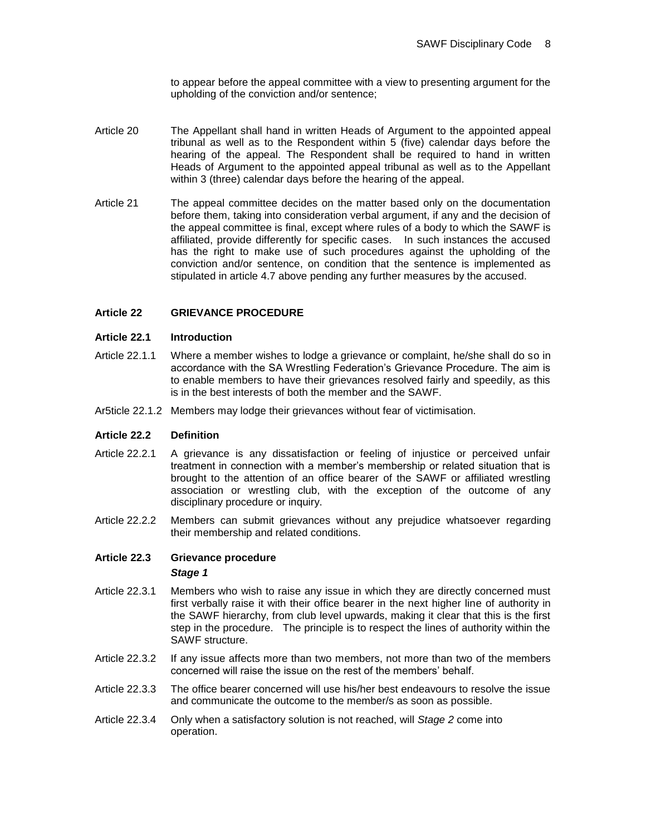to appear before the appeal committee with a view to presenting argument for the upholding of the conviction and/or sentence;

- Article 20 The Appellant shall hand in written Heads of Argument to the appointed appeal tribunal as well as to the Respondent within 5 (five) calendar days before the hearing of the appeal. The Respondent shall be required to hand in written Heads of Argument to the appointed appeal tribunal as well as to the Appellant within 3 (three) calendar days before the hearing of the appeal.
- Article 21 The appeal committee decides on the matter based only on the documentation before them, taking into consideration verbal argument, if any and the decision of the appeal committee is final, except where rules of a body to which the SAWF is affiliated, provide differently for specific cases. In such instances the accused has the right to make use of such procedures against the upholding of the conviction and/or sentence, on condition that the sentence is implemented as stipulated in article 4.7 above pending any further measures by the accused.

## **Article 22 GRIEVANCE PROCEDURE**

## **Article 22.1 Introduction**

- Article 22.1.1 Where a member wishes to lodge a grievance or complaint, he/she shall do so in accordance with the SA Wrestling Federation's Grievance Procedure. The aim is to enable members to have their grievances resolved fairly and speedily, as this is in the best interests of both the member and the SAWF.
- Ar5ticle 22.1.2 Members may lodge their grievances without fear of victimisation.

## **Article 22.2 Definition**

- Article 22.2.1 A grievance is any dissatisfaction or feeling of injustice or perceived unfair treatment in connection with a member's membership or related situation that is brought to the attention of an office bearer of the SAWF or affiliated wrestling association or wrestling club, with the exception of the outcome of any disciplinary procedure or inquiry.
- Article 22.2.2 Members can submit grievances without any prejudice whatsoever regarding their membership and related conditions.

## **Article 22.3 Grievance procedure** *Stage 1*

- Article 22.3.1 Members who wish to raise any issue in which they are directly concerned must first verbally raise it with their office bearer in the next higher line of authority in the SAWF hierarchy, from club level upwards, making it clear that this is the first step in the procedure. The principle is to respect the lines of authority within the SAWF structure.
- Article 22.3.2 If any issue affects more than two members, not more than two of the members concerned will raise the issue on the rest of the members' behalf.
- Article 22.3.3 The office bearer concerned will use his/her best endeavours to resolve the issue and communicate the outcome to the member/s as soon as possible.
- Article 22.3.4 Only when a satisfactory solution is not reached, will *Stage 2* come into operation.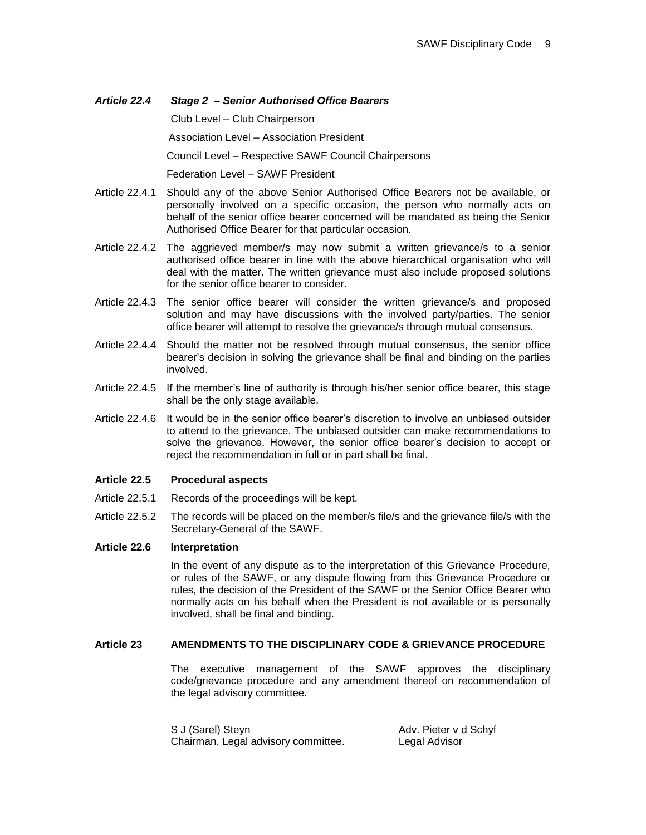# *Article 22.4 Stage 2 – Senior Authorised Office Bearers* Club Level – Club Chairperson Association Level – Association President Council Level – Respective SAWF Council Chairpersons Federation Level – SAWF President

- Article 22.4.1 Should any of the above Senior Authorised Office Bearers not be available, or personally involved on a specific occasion, the person who normally acts on behalf of the senior office bearer concerned will be mandated as being the Senior Authorised Office Bearer for that particular occasion.
- Article 22.4.2 The aggrieved member/s may now submit a written grievance/s to a senior authorised office bearer in line with the above hierarchical organisation who will deal with the matter. The written grievance must also include proposed solutions for the senior office bearer to consider.
- Article 22.4.3 The senior office bearer will consider the written grievance/s and proposed solution and may have discussions with the involved party/parties. The senior office bearer will attempt to resolve the grievance/s through mutual consensus.
- Article 22.4.4 Should the matter not be resolved through mutual consensus, the senior office bearer's decision in solving the grievance shall be final and binding on the parties involved.
- Article 22.4.5 If the member's line of authority is through his/her senior office bearer, this stage shall be the only stage available.
- Article 22.4.6 It would be in the senior office bearer's discretion to involve an unbiased outsider to attend to the grievance. The unbiased outsider can make recommendations to solve the grievance. However, the senior office bearer's decision to accept or reject the recommendation in full or in part shall be final.

#### **Article 22.5 Procedural aspects**

- Article 22.5.1 Records of the proceedings will be kept.
- Article 22.5.2 The records will be placed on the member/s file/s and the grievance file/s with the Secretary-General of the SAWF.

#### **Article 22.6 Interpretation**

In the event of any dispute as to the interpretation of this Grievance Procedure, or rules of the SAWF, or any dispute flowing from this Grievance Procedure or rules, the decision of the President of the SAWF or the Senior Office Bearer who normally acts on his behalf when the President is not available or is personally involved, shall be final and binding.

#### **Article 23 AMENDMENTS TO THE DISCIPLINARY CODE & GRIEVANCE PROCEDURE**

The executive management of the SAWF approves the disciplinary code/grievance procedure and any amendment thereof on recommendation of the legal advisory committee.

S J (Sarel) Steyn Adv. Pieter v d Schyf Chairman, Legal advisory committee. Legal Advisor